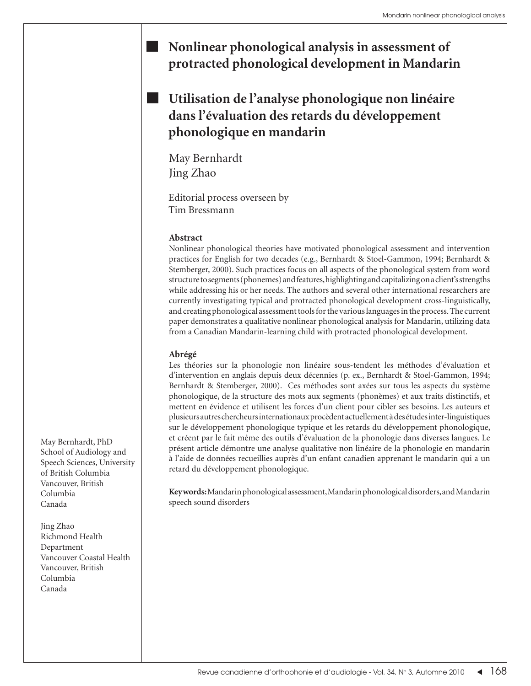## **Nonlinear phonological analysis in assessment of protracted phonological development in Mandarin**

## **Utilisation de l'analyse phonologique non linéaire dans l'évaluation des retards du développement phonologique en mandarin**

May Bernhardt Jing Zhao

Editorial process overseen by Tim Bressmann

## **Abstract**

Nonlinear phonological theories have motivated phonological assessment and intervention practices for English for two decades (e.g., Bernhardt & Stoel-Gammon, 1994; Bernhardt & Stemberger, 2000). Such practices focus on all aspects of the phonological system from word structure to segments (phonemes) and features, highlighting and capitalizing on a client's strengths while addressing his or her needs. The authors and several other international researchers are currently investigating typical and protracted phonological development cross-linguistically, and creating phonological assessment tools for the various languages in the process. The current paper demonstrates a qualitative nonlinear phonological analysis for Mandarin, utilizing data from a Canadian Mandarin-learning child with protracted phonological development.

## **Abrégé**

Les théories sur la phonologie non linéaire sous-tendent les méthodes d'évaluation et d'intervention en anglais depuis deux décennies (p. ex., Bernhardt & Stoel-Gammon, 1994; Bernhardt & Stemberger, 2000). Ces méthodes sont axées sur tous les aspects du système phonologique, de la structure des mots aux segments (phonèmes) et aux traits distinctifs, et mettent en évidence et utilisent les forces d'un client pour cibler ses besoins. Les auteurs et plusieurs autres chercheurs internationaux procèdent actuellement à des études inter-linguistiques sur le développement phonologique typique et les retards du développement phonologique, et créent par le fait même des outils d'évaluation de la phonologie dans diverses langues. Le présent article démontre une analyse qualitative non linéaire de la phonologie en mandarin à l'aide de données recueillies auprès d'un enfant canadien apprenant le mandarin qui a un retard du développement phonologique.

**Key words:** Mandarin phonological assessment, Mandarin phonological disorders, and Mandarin speech sound disorders

May Bernhardt, PhD School of Audiology and Speech Sciences, University of British Columbia Vancouver, British Columbia Canada

Jing Zhao Richmond Health Department Vancouver Coastal Health Vancouver, British Columbia Canada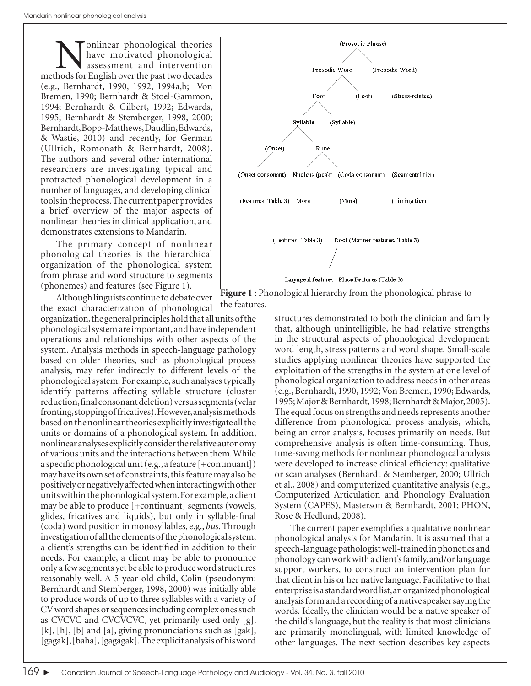**Nonlinear phonological theories**<br>have motivated phonological<br>methods for English over the past two decades have motivated phonological assessment and intervention (e.g., Bernhardt, 1990, 1992, 1994a,b; Von Bremen, 1990; Bernhardt & Stoel-Gammon, 1994; Bernhardt & Gilbert, 1992; Edwards, 1995; Bernhardt & Stemberger, 1998, 2000; Bernhardt, Bopp-Matthews, Daudlin, Edwards, & Wastie, 2010) and recently, for German (Ullrich, Romonath & Bernhardt, 2008). The authors and several other international researchers are investigating typical and protracted phonological development in a number of languages, and developing clinical tools in the process. The current paper provides a brief overview of the major aspects of nonlinear theories in clinical application, and demonstrates extensions to Mandarin.

The primary concept of nonlinear phonological theories is the hierarchical organization of the phonological system from phrase and word structure to segments (phonemes) and features (see Figure 1).

Although linguists continue to debate over the exact characterization of phonological organization, the general principles hold that all units of the phonological system are important, and have independent operations and relationships with other aspects of the system. Analysis methods in speech-language pathology based on older theories, such as phonological process analysis, may refer indirectly to different levels of the phonological system. For example, such analyses typically identify patterns affecting syllable structure (cluster reduction, final consonant deletion) versus segments (velar fronting, stopping of fricatives). However, analysis methods based on the nonlinear theories explicitly investigate all the units or domains of a phonological system. In addition, nonlinear analyses explicitly consider the relative autonomy of various units and the interactions between them. While a specific phonological unit  $(e.g., a feature [+continuant])$ may have its own set of constraints, this feature may also be positively or negatively affected when interacting with other units within the phonological system. For example, a client may be able to produce [+continuant] segments (vowels, glides, fricatives and liquids), but only in syllable-final (coda) word position in monosyllables, e.g., *bus*. Through investigation of all the elements of the phonological system, a client's strengths can be identified in addition to their needs. For example, a client may be able to pronounce only a few segments yet be able to produce word structures reasonably well. A 5-year-old child, Colin (pseudonym: Bernhardt and Stemberger, 1998, 2000) was initially able to produce words of up to three syllables with a variety of CV word shapes or sequences including complex ones such as CVCVC and CVCVCVC, yet primarily used only [g], [k], [h], [b] and [a], giving pronunciations such as [gak], [gagak], [baha], [gagagak]. The explicit analysis of his word



**Figure 1:** Phonological hierarchy from the phonological phrase to the features.

structures demonstrated to both the clinician and family that, although unintelligible, he had relative strengths in the structural aspects of phonological development: word length, stress patterns and word shape. Small-scale studies applying nonlinear theories have supported the exploitation of the strengths in the system at one level of phonological organization to address needs in other areas (e.g., Bernhardt, 1990, 1992; Von Bremen, 1990; Edwards, 1995; Major & Bernhardt, 1998; Bernhardt & Major, 2005). The equal focus on strengths and needs represents another difference from phonological process analysis, which, being an error analysis, focuses primarily on needs. But comprehensive analysis is often time-consuming. Thus, time-saving methods for nonlinear phonological analysis were developed to increase clinical efficiency: qualitative or scan analyses (Bernhardt & Stemberger, 2000; Ullrich et al., 2008) and computerized quantitative analysis (e.g., Computerized Articulation and Phonology Evaluation System (CAPES), Masterson & Bernhardt, 2001; PHON, Rose & Hedlund, 2008).

The current paper exemplifies a qualitative nonlinear phonological analysis for Mandarin. It is assumed that a speech-language pathologist well-trained in phonetics and phonology can work with a client's family, and/or language support workers, to construct an intervention plan for that client in his or her native language. Facilitative to that enterprise is a standard word list, an organized phonological analysis form and a recording of a native speaker saying the words. Ideally, the clinician would be a native speaker of the child's language, but the reality is that most clinicians are primarily monolingual, with limited knowledge of other languages. The next section describes key aspects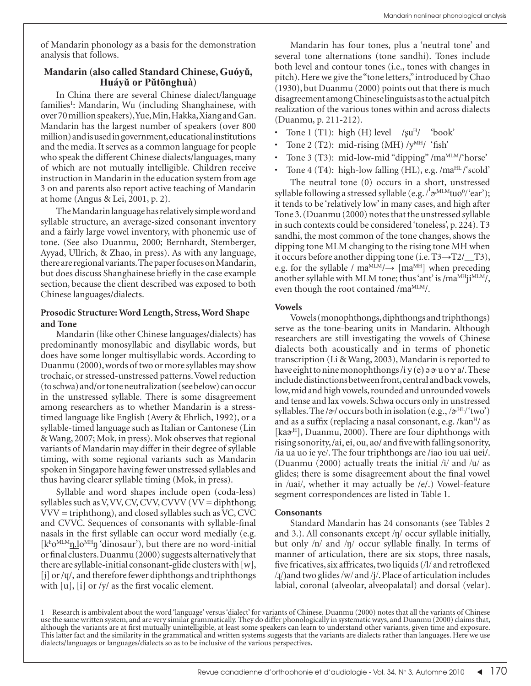of Mandarin phonology as a basis for the demonstration analysis that follows.

# **Mandarin (also called Standard Chinese, Guóyǔ, Huáyǔ or Pǔtōnghuà)**

In China there are several Chinese dialect/language families<sup>1</sup>: Mandarin, Wu (including Shanghainese, with over 70 million speakers), Yue, Min, Hakka, Xiang and Gan. Mandarin has the largest number of speakers (over 800 million) and is used in government, educational institutions and the media. It serves as a common language for people who speak the different Chinese dialects/languages, many of which are not mutually intelligible. Children receive instruction in Mandarin in the education system from age 3 on and parents also report active teaching of Mandarin at home (Angus & Lei, 2001, p. 2).

The Mandarin language has relatively simple word and syllable structure, an average-sized consonant inventory and a fairly large vowel inventory, with phonemic use of tone. (See also Duanmu, 2000; Bernhardt, Stemberger, Ayyad, Ullrich, & Zhao, in press). As with any language, there are regional variants. The paper focuses on Mandarin, but does discuss Shanghainese briefly in the case example section, because the client described was exposed to both Chinese languages/dialects.

### **Prosodic Structure: Word Length, Stress, Word Shape and Tone**

Mandarin (like other Chinese languages/dialects) has predominantly monosyllabic and disyllabic words, but does have some longer multisyllabic words. According to Duanmu (2000), words of two or more syllables may show trochaic, or stressed-unstressed patterns. Vowel reduction (to schwa) and/or tone neutralization (see below) can occur in the unstressed syllable. There is some disagreement among researchers as to whether Mandarin is a stresstimed language like English (Avery & Ehrlich, 1992), or a syllable-timed language such as Italian or Cantonese (Lin & Wang, 2007; Mok, in press). Mok observes that regional variants of Mandarin may differ in their degree of syllable timing, with some regional variants such as Mandarin spoken in Singapore having fewer unstressed syllables and thus having clearer syllable timing (Mok, in press).

Syllable and word shapes include open (coda-less) syllables such as V, VV, CV, CVV, CVVV ( $VV =$  diphthong; VVV = triphthong), and closed syllables such as VC, CVC and CVVC. Sequences of consonants with syllable-final nasals in the first syllable can occur word medially (e.g. [kho<sup>MLM</sup>n<sub>1</sub>,10<sup>MH</sup>n 'dinosaur'), but there are no word-initial or final clusters. Duanmu (2000) suggests alternatively that there are syllable-initial consonant-glide clusters with  $[w]$ , [j] or /ɥ/, and therefore fewer diphthongs and triphthongs with  $[u]$ ,  $[i]$  or /y/ as the first vocalic element.

Mandarin has four tones, plus a 'neutral tone' and several tone alternations (tone sandhi). Tones include both level and contour tones (i.e., tones with changes in pitch). Here we give the "tone letters," introduced by Chao (1930), but Duanmu (2000) points out that there is much disagreement among Chinese linguists as to the actual pitch realization of the various tones within and across dialects (Duanmu, p. 211-212).

- Tone 1 (T1): high (H) level  $\frac{1}{8}$ u<sup>H</sup>/ 'book'
- Tone 2 (T2): mid-rising  $(MH)/v^{MH}$  'fish'
- Tone 3 (T3): mid-low-mid "dipping" /maMLM/'horse'
- Tone 4 (T4): high-low falling (HL), e.g. /ma $^{HL}$ / scold'

The neutral tone (0) occurs in a short, unstressed syllable following a stressed syllable (e.g./ $\sigma^{\text{MLM}}$ tuo<sup>0</sup>/'ear'); it tends to be 'relatively low' in many cases, and high after Tone 3. (Duanmu (2000) notes that the unstressed syllable in such contexts could be considered 'toneless', p. 224). T3 sandhi, the most common of the tone changes, shows the dipping tone MLM changing to the rising tone MH when it occurs before another dipping tone (i.e. T3→T2/\_\_T3), e.g. for the syllable /  $ma^{MLM}/\rightarrow$  [ $ma^{MH}$ ] when preceding another syllable with MLM tone; thus 'ant' is /ma<sup>MH</sup>ji<sup>MLM</sup>/, even though the root contained /ma<sup>MLM</sup>/.

### **Vowels**

Vowels (monophthongs, diphthongs and triphthongs) serve as the tone-bearing units in Mandarin. Although researchers are still investigating the vowels of Chinese dialects both acoustically and in terms of phonetic transcription (Li & Wang, 2003), Mandarin is reported to have eight to nine monophthongs/i y (e)  $\partial \sigma u$  o  $\gamma a$ . These include distinctions between front, central and back vowels, low, mid and high vowels, rounded and unrounded vowels and tense and lax vowels. Schwa occurs only in unstressed syllables. The / $\alpha$ / occurs both in isolation (e.g., / $\alpha^{HL}$ /'two') and as a suffix (replacing a nasal consonant, e.g. / $\text{kan}^H$ / as [ka $\mathcal{D}^H$ ], Duanmu, 2000). There are four diphthongs with rising sonority, /ai, ei, ou, ao/ and five with falling sonority, /ia ua uo ie ye/. The four triphthongs are /iao iou uai uei/. (Duanmu (2000) actually treats the initial  $\frac{i}{\sqrt{a}}$  and  $\frac{i}{\sqrt{a}}$  as glides; there is some disagreement about the final vowel in /uai/, whether it may actually be /e/.) Vowel-feature segment correspondences are listed in Table 1.

### **Consonants**

Standard Mandarin has 24 consonants (see Tables 2 and 3.). All consonants except /ŋ/ occur syllable initially, but only  $/n/$  and  $/n/$  occur syllable finally. In terms of manner of articulation, there are six stops, three nasals, five fricatives, six affricates, two liquids  $\frac{1}{1}$  and retroflexed /ɻ/)and two glides /w/ and /j/. Place of articulation includes labial, coronal (alveolar, alveopalatal) and dorsal (velar).

1 Research is ambivalent about the word 'language' versus 'dialect' for variants of Chinese. Duanmu (2000) notes that all the variants of Chinese use the same written system, and are very similar grammatically. They do differ phonologically in systematic ways, and Duanmu (2000) claims that, although the variants are at first mutually unintelligible, at least some speakers can learn to understand other variants, given time and exposure. This latter fact and the similarity in the grammatical and written systems suggests that the variants are dialects rather than languages. Here we use dialects/languages or languages/dialects so as to be inclusive of the various perspectives.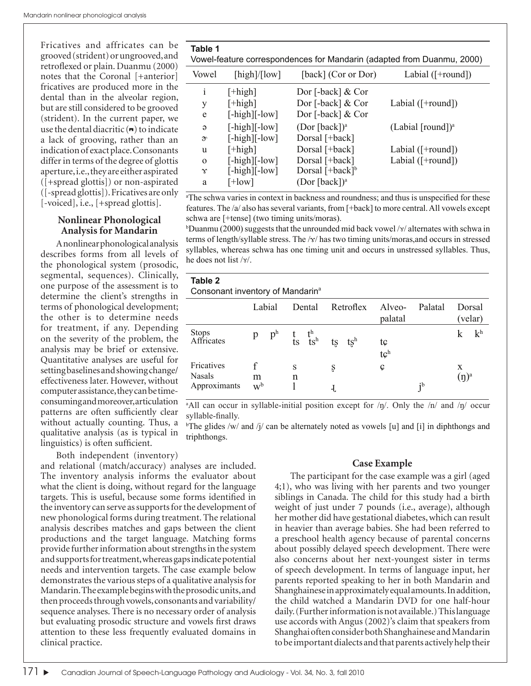Fricatives and affricates can be grooved (strident) or ungrooved, and retroflexed or plain. Duanmu (2000) notes that the Coronal [+anterior] fricatives are produced more in the dental than in the alveolar region, but are still considered to be grooved (strident). In the current paper, we use the dental diacritic  $($ <sup>n</sup> $)$  to indicate a lack of grooving, rather than an indication of exact place. Consonants differ in terms of the degree of glottis aperture, i.e., they are either aspirated ([+spread glottis]) or non-aspirated ([-spread glottis]). Fricatives are only [-voiced], i.e., [+spread glottis].

### **Nonlinear Phonological Analysis for Mandarin**

A nonlinear phonological analysis describes forms from all levels of the phonological system (prosodic, segmental, sequences). Clinically, one purpose of the assessment is to determine the client's strengths in terms of phonological development; the other is to determine needs for treatment, if any. Depending on the severity of the problem, the analysis may be brief or extensive. Quantitative analyses are useful for setting baselines and showing change/ effectiveness later. However, without computer assistance, they can be timeconsuming and moreover, articulation patterns are often sufficiently clear without actually counting. Thus, a qualitative analysis (as is typical in linguistics) is often sufficient.

Both independent (inventory)

and relational (match/accuracy) analyses are included. The inventory analysis informs the evaluator about what the client is doing, without regard for the language targets. This is useful, because some forms identified in the inventory can serve as supports for the development of new phonological forms during treatment. The relational analysis describes matches and gaps between the client productions and the target language. Matching forms provide further information about strengths in the system and supports for treatment, whereas gaps indicate potential needs and intervention targets. The case example below demonstrates the various steps of a qualitative analysis for Mandarin. The example begins with the prosodic units, and then proceeds through vowels, consonants and variability/ sequence analyses. There is no necessary order of analysis but evaluating prosodic structure and vowels first draws attention to these less frequently evaluated domains in clinical practice.

| Table T                                                                |  |
|------------------------------------------------------------------------|--|
| Vowel-feature correspondences for Mandarin (adapted from Duanmu, 2000) |  |

|                        | voitor roataro corrooportaoricoo for mariaanii (aaaptoa homi Baannia, 2000) |                           |                                         |  |  |  |
|------------------------|-----------------------------------------------------------------------------|---------------------------|-----------------------------------------|--|--|--|
| Vowel                  | $[\text{high}]/[\text{low}]$                                                | [back] (Cor or Dor)       | Labial $($ $\lceil$ +round $\rceil$ )   |  |  |  |
| i                      | $[+high]$                                                                   | Dor [-back] $&Cor$        |                                         |  |  |  |
| у                      | $[+high]$                                                                   | Dor [-back] & Cor         | Labial $($ $\lceil$ +round $\rceil$ $)$ |  |  |  |
| e                      | $[-high][-low]$                                                             | Dor [-back] $&Cor$        |                                         |  |  |  |
| $\Theta$               | $[-high][-low]$                                                             | (Dor [back]) <sup>a</sup> | $(Labial [round])^a$                    |  |  |  |
| $\mathfrak{D}^{\circ}$ | $[-high][-low]$                                                             | Dorsal [+back]            |                                         |  |  |  |
| u                      | $[+high]$                                                                   | Dorsal [+back]            | Labial $($ $\lceil$ +round $\rceil$ )   |  |  |  |
| $\Omega$               | $[-high][-low]$                                                             | Dorsal [+back]            | Labial $($ $\lceil$ +round $\rceil$ )   |  |  |  |
| $\gamma$               | $[-high][-low]$                                                             | Dorsal $[+back]^b$        |                                         |  |  |  |
| a                      | $[+low]$                                                                    | (Dor [back]) <sup>a</sup> |                                         |  |  |  |
|                        |                                                                             |                           |                                         |  |  |  |

<sup>a</sup>The schwa varies in context in backness and roundness; and thus is unspecified for these features. The /a/ also has several variants, from [+back] to more central. All vowels except schwa are [+tense] (two timing units/moras).

bDuanmu (2000) suggests that the unrounded mid back vowel /x/ alternates with schwa in terms of length/syllable stress. The  $\frac{x}{n}$  has two timing units/moras, and occurs in stressed syllables, whereas schwa has one timing unit and occurs in unstressed syllables. Thus, he does not list  $\sqrt{x}$ .

| Table 2                                      |
|----------------------------------------------|
| Consonant inventory of Mandarin <sup>a</sup> |
|                                              |

**Table 1**

|                                             | Labial     |        | Dental | Retroflex | Alveo-<br>palatal     | Palatal                   | Dorsal<br>(velar) |                |
|---------------------------------------------|------------|--------|--------|-----------|-----------------------|---------------------------|-------------------|----------------|
| <b>Stops</b><br>Affricates                  |            |        |        |           | tç<br>tç <sup>h</sup> |                           |                   | k <sup>h</sup> |
| Fricatives<br><b>Nasals</b><br>Approximants | m<br>$W^b$ | S<br>n |        |           | Ç                     | $\mathbf{i}^{\mathrm{b}}$ | X<br>$(\eta)^a$   |                |

a All can occur in syllable-initial position except for /ŋ/. Only the /n/ and /ŋ/ occur syllable-finally.

<sup>b</sup>The glides /w/ and /j/ can be alternately noted as vowels [u] and [i] in diphthongs and triphthongs.

### **Case Example**

The participant for the case example was a girl (aged 4;1), who was living with her parents and two younger siblings in Canada. The child for this study had a birth weight of just under 7 pounds (i.e., average), although her mother did have gestational diabetes, which can result in heavier than average babies. She had been referred to a preschool health agency because of parental concerns about possibly delayed speech development. There were also concerns about her next-youngest sister in terms of speech development. In terms of language input, her parents reported speaking to her in both Mandarin and Shanghainese in approximately equal amounts. In addition, the child watched a Mandarin DVD for one half-hour daily. (Further information is not available.) This language use accords with Angus (2002)'s claim that speakers from Shanghai often consider both Shanghainese and Mandarin to be important dialects and that parents actively help their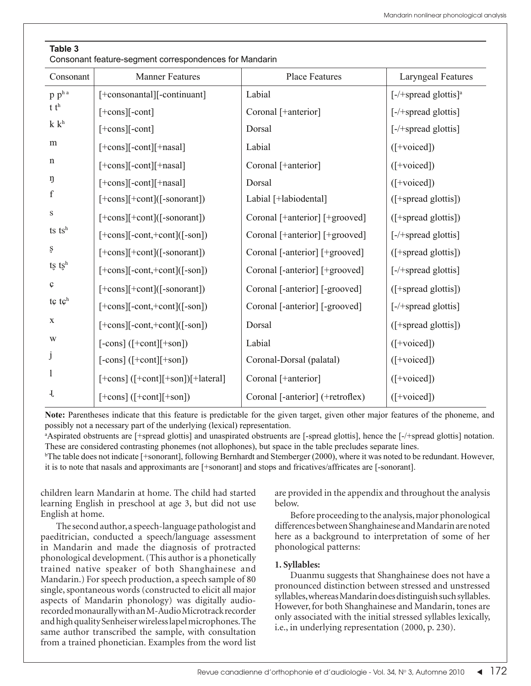### **Table 3**

Consonant feature-segment correspondences for Mandarin

| Consonant                | <b>Manner Features</b>                        | <b>Place Features</b>            | <b>Laryngeal Features</b>           |
|--------------------------|-----------------------------------------------|----------------------------------|-------------------------------------|
| $p p^h$ <sup>a</sup>     | [+consonantal][-continuant]                   | Labial                           | $[-/+$ spread glottis] <sup>a</sup> |
| t t <sup>h</sup>         | $[+cons]$ [-cont]                             | Coronal [+anterior]              | $[-/+$ spread glottis]              |
| k k <sup>h</sup>         | $[+cons][-cont]$                              | Dorsal                           | $[-/+$ spread glottis]              |
| m                        | [+cons][-cont][+nasal]                        | Labial                           | $(I+voiced])$                       |
| $\mathbf n$              | $[+cons][-cont][+nasal]$                      | Coronal [+anterior]              | $(I+voiced])$                       |
| ŋ                        | $[+cons][-cont][+nasal]$                      | Dorsal                           | $(I+voiced])$                       |
| $\mathbf f$              | $[+cons][+cont]$ ([-sonorant])                | Labial [+labiodental]            | $($ [+spread glottis])              |
| $\rm S$                  | $[+cons][+cont]$ ([-sonorant])                | Coronal [+anterior] [+grooved]   | ([+spread glottis])                 |
| $ts$ $tsh$               | $[+cons]$ [-cont,+cont]([-son])               | Coronal [+anterior] [+grooved]   | $[-/+$ spread glottis]              |
| ş                        | $[+cons][+cont]$ ([-sonorant])                | Coronal [-anterior] [+grooved]   | ([+spread glottis])                 |
| $ts$ $tsh$               | $[+cons]$ [-cont,+cont]([-son])               | Coronal [-anterior] [+grooved]   | $[-/+$ spread glottis]              |
| $\boldsymbol{\varsigma}$ | [+cons][+cont]([-sonorant])                   | Coronal [-anterior] [-grooved]   | ([+spread glottis])                 |
| $t \in \mathfrak{t}$     | $[+cons]$ [-cont,+cont]([-son])               | Coronal [-anterior] [-grooved]   | $[-/+$ spread glottis]              |
| X                        | $[+cons]$ [-cont,+cont]([-son])               | Dorsal                           | ([+spread glottis])                 |
| W                        | $[-\text{cons}]([-\text{cont}][+\text{son}])$ | Labial                           | $(I+voiced])$                       |
| j                        | $[-\text{cons}]([-\text{cont}][+\text{son}])$ | Coronal-Dorsal (palatal)         | ([+voiced])                         |
| $\mathbf{1}$             | [+cons] ([+cont][+son])[+lateral]             | Coronal [+anterior]              | $([+voiced])$                       |
| J,                       | $[+cons]$ ( $[+cont]$ $[+son]$ )              | Coronal [-anterior] (+retroflex) | $(I+voiced])$                       |

**Note:** Parentheses indicate that this feature is predictable for the given target, given other major features of the phoneme, and possibly not a necessary part of the underlying (lexical) representation.

a Aspirated obstruents are [+spread glottis] and unaspirated obstruents are [-spread glottis], hence the [-/+spread glottis] notation. These are considered contrasting phonemes (not allophones), but space in the table precludes separate lines.

b The table does not indicate [+sonorant], following Bernhardt and Stemberger (2000), where it was noted to be redundant. However, it is to note that nasals and approximants are [+sonorant] and stops and fricatives/affricates are [-sonorant].

children learn Mandarin at home. The child had started learning English in preschool at age 3, but did not use English at home.

The second author, a speech-language pathologist and paeditrician, conducted a speech/language assessment in Mandarin and made the diagnosis of protracted phonological development. (This author is a phonetically trained native speaker of both Shanghainese and Mandarin.) For speech production, a speech sample of 80 single, spontaneous words (constructed to elicit all major aspects of Mandarin phonology) was digitally audiorecorded monaurally with an M-Audio Microtrack recorder and high quality Senheiser wireless lapel microphones. The same author transcribed the sample, with consultation from a trained phonetician. Examples from the word list are provided in the appendix and throughout the analysis below.

Before proceeding to the analysis, major phonological differences between Shanghainese and Mandarin are noted here as a background to interpretation of some of her phonological patterns:

### **1. Syllables:**

Duanmu suggests that Shanghainese does not have a pronounced distinction between stressed and unstressed syllables, whereas Mandarin does distinguish such syllables. However, for both Shanghainese and Mandarin, tones are only associated with the initial stressed syllables lexically, i.e., in underlying representation (2000, p. 230).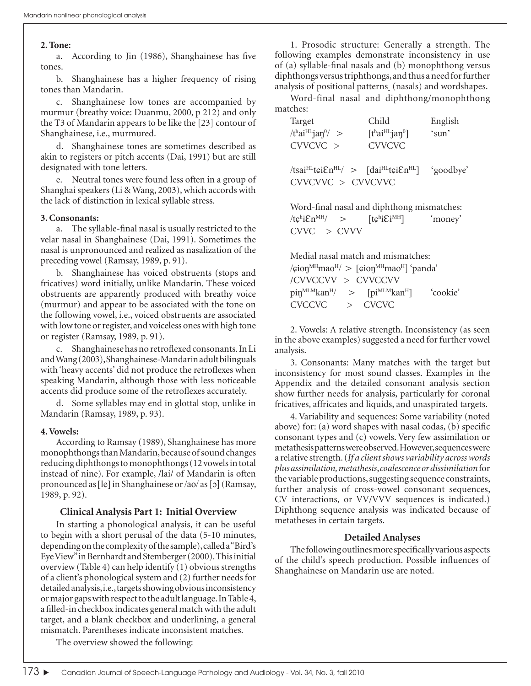#### **2. Tone:**

a. According to Jin (1986), Shanghainese has five tones.

b. Shanghainese has a higher frequency of rising tones than Mandarin.

c. Shanghainese low tones are accompanied by murmur (breathy voice: Duanmu, 2000, p 212) and only the T3 of Mandarin appears to be like the [23] contour of Shanghainese, i.e., murmured.

d. Shanghainese tones are sometimes described as akin to registers or pitch accents (Dai, 1991) but are still designated with tone letters.

e. Neutral tones were found less often in a group of Shanghai speakers (Li & Wang, 2003), which accords with the lack of distinction in lexical syllable stress.

#### **3. Consonants:**

a. The syllable-final nasal is usually restricted to the velar nasal in Shanghainese (Dai, 1991). Sometimes the nasal is unpronounced and realized as nasalization of the preceding vowel (Ramsay, 1989, p. 91).

b. Shanghainese has voiced obstruents (stops and fricatives) word initially, unlike Mandarin. These voiced obstruents are apparently produced with breathy voice (murmur) and appear to be associated with the tone on the following vowel, i.e., voiced obstruents are associated with low tone or register, and voiceless ones with high tone or register (Ramsay, 1989, p. 91).

c. Shanghainese has no retroflexed consonants. In Li and Wang (2003), Shanghainese-Mandarin adult bilinguals with 'heavy accents' did not produce the retroflexes when speaking Mandarin, although those with less noticeable accents did produce some of the retroflexes accurately.

d. Some syllables may end in glottal stop, unlike in Mandarin (Ramsay, 1989, p. 93).

#### **4. Vowels:**

According to Ramsay (1989), Shanghainese has more monophthongs than Mandarin, because of sound changes reducing diphthongs to monophthongs (12 vowels in total instead of nine). For example, /lai/ of Mandarin is often pronounced as [le] in Shanghainese or /ao/ as [ɔ] (Ramsay, 1989, p. 92).

### **Clinical Analysis Part 1: Initial Overview**

In starting a phonological analysis, it can be useful to begin with a short perusal of the data (5-10 minutes, depending on the complexity of the sample), called a "Bird's Eye View" in Bernhardt and Stemberger (2000). This initial overview (Table 4) can help identify (1) obvious strengths of a client's phonological system and (2) further needs for detailed analysis, i.e., targets showing obvious inconsistency or major gaps with respect to the adult language. In Table 4, a filled-in checkbox indicates general match with the adult target, and a blank checkbox and underlining, a general mismatch. Parentheses indicate inconsistent matches.

1. Prosodic structure: Generally a strength. The following examples demonstrate inconsistency in use of  $(a)$  syllable-final nasals and  $(b)$  monophthong versus diphthongs versus triphthongs, and thus a need for further analysis of positional patterns (nasals) and wordshapes.

Word-final nasal and diphthong/monophthong matches:

| Child                                                                                                                              | English   |
|------------------------------------------------------------------------------------------------------------------------------------|-----------|
| $\lceil \text{t}^{\text{h}} \text{a}^{\text{H}} \text{H} \text{a} \text{a} \text{n}^{\text{o}} \rceil$                             | 'sun'     |
| <b>CVVCVC</b>                                                                                                                      |           |
| $\text{Msai}^{\text{HL}}$ tçi $\text{En}^{\text{HL}}$ > $\text{Msai}^{\text{HL}}$ tçi $\text{En}^{\text{HL}}$<br>CVVCVVC > CVVCVVC | 'goodbye' |
|                                                                                                                                    |           |

Word-final nasal and diphthong mismatches: /tc<sup>h</sup>iEn<sup>MH</sup>/  $>$  [tc<sup>h</sup>  $[te^h i Ei^{MH}]$  'money' CVVC > CVVV

Medial nasal match and mismatches:  $\langle$ cion<sup>MH</sup>mao<sup>H</sup> $\rangle$  [cion<sup>MH</sup>mao<sup>H</sup>] 'panda' /CVVCCVV > CVVCCVV  $pi^{MLM}$ kan<sup>H</sup>/ >  $[pi^{MLM}$ kan<sup>H</sup>]  $'cookie'$ CVCCVC > CVCVC

2. Vowels: A relative strength. Inconsistency (as seen in the above examples) suggested a need for further vowel analysis.

3. Consonants: Many matches with the target but inconsistency for most sound classes. Examples in the Appendix and the detailed consonant analysis section show further needs for analysis, particularly for coronal fricatives, affricates and liquids, and unaspirated targets.

4. Variability and sequences: Some variability (noted above) for: (a) word shapes with nasal codas, (b) specific consonant types and (c) vowels. Very few assimilation or metathesis patterns were observed. However, sequences were a relative strength. (*If a client shows variability across words plusassimilation, metathesis*, *coalescence or dissimilation* for the variable productions, suggesting sequence constraints, further analysis of cross-vowel consonant sequences, CV interactions, or VV/VVV sequences is indicated.) Diphthong sequence analysis was indicated because of metatheses in certain targets.

### **Detailed Analyses**

The following outlines more specifically various aspects of the child's speech production. Possible influences of Shanghainese on Mandarin use are noted.

The overview showed the following: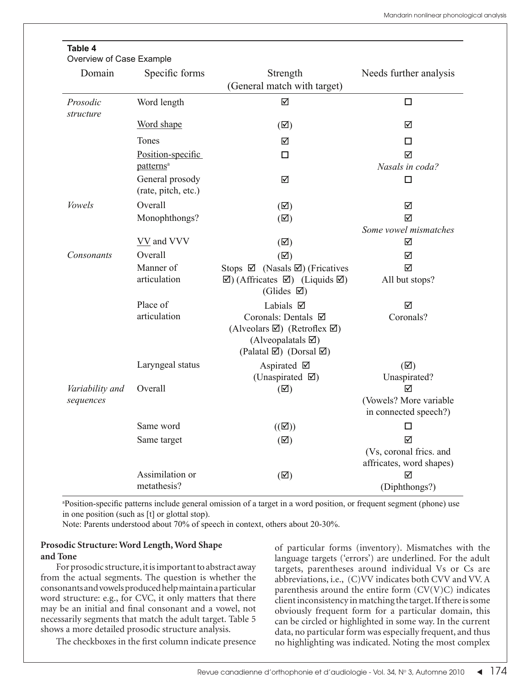| Overview of Case Example |                                            |                                                                                                                                                          |                                                 |
|--------------------------|--------------------------------------------|----------------------------------------------------------------------------------------------------------------------------------------------------------|-------------------------------------------------|
| Domain                   | Specific forms                             | Strength<br>(General match with target)                                                                                                                  | Needs further analysis                          |
| Prosodic<br>structure    | Word length                                | $\blacktriangledown$                                                                                                                                     | $\Box$                                          |
|                          | Word shape                                 | $(\boxtimes)$                                                                                                                                            | ☑                                               |
|                          | Tones                                      | ☑                                                                                                                                                        | □                                               |
|                          | Position-specific<br>patterns <sup>a</sup> | $\Box$                                                                                                                                                   | ☑<br>Nasals in coda?                            |
|                          | General prosody<br>(rate, pitch, etc.)     | ☑                                                                                                                                                        | п                                               |
| Vowels                   | Overall                                    | $(\boxtimes)$                                                                                                                                            | ☑                                               |
|                          | Monophthongs?                              | $(\boxtimes)$                                                                                                                                            | ☑                                               |
|                          |                                            |                                                                                                                                                          | Some vowel mismatches                           |
|                          | VV and VVV                                 | $(\boxtimes)$                                                                                                                                            | ☑                                               |
| Consonants               | Overall                                    | $(\overline{\boxtimes})$                                                                                                                                 | ☑                                               |
|                          | Manner of                                  | Stops $\boxtimes$ (Nasals $\boxtimes$ ) (Fricatives                                                                                                      | ☑                                               |
|                          | articulation                               | $\boxtimes$ ) (Affricates $\boxtimes$ ) (Liquids $\boxtimes$ )<br>(Glides $\boxtimes$ )                                                                  | All but stops?                                  |
|                          | Place of                                   | Labials $\boxtimes$                                                                                                                                      | ☑                                               |
|                          | articulation                               | Coronals: Dentals Ø<br>(Alveolars $\boxtimes$ ) (Retroflex $\boxtimes$ )<br>(Alveopalatals $\boxtimes$ )<br>(Palatal $\boxtimes$ ) (Dorsal $\boxtimes$ ) | Coronals?                                       |
|                          | Laryngeal status                           | Aspirated $\boxtimes$                                                                                                                                    | $(\boxtimes)$                                   |
|                          |                                            | (Unaspirated $\boxtimes$ )                                                                                                                               | Unaspirated?                                    |
| Variability and          | Overall                                    | $(\boxtimes)$                                                                                                                                            | ☑                                               |
| sequences                |                                            |                                                                                                                                                          | (Vowels? More variable<br>in connected speech?) |
|                          | Same word                                  | $((\boxtimes))$                                                                                                                                          | □                                               |
|                          | Same target                                | $(\boxtimes)$                                                                                                                                            | ☑                                               |
|                          |                                            |                                                                                                                                                          | (Vs, coronal frics. and                         |
|                          |                                            |                                                                                                                                                          | affricates, word shapes)                        |
|                          | Assimilation or                            | $(\boxtimes)$                                                                                                                                            | ☑                                               |
|                          | metathesis?                                |                                                                                                                                                          | (Diphthongs?)                                   |

## **Table 4**

a Position-specifi c patterns include general omission of a target in a word position, or frequent segment (phone) use in one position (such as [t] or glottal stop).

Note: Parents understood about 70% of speech in context, others about 20-30%.

## **Prosodic Structure: Word Length, Word Shape and Tone**

For prosodic structure, it is important to abstract away from the actual segments. The question is whether the consonants and vowels produced help maintain a particular word structure: e.g., for CVC, it only matters that there may be an initial and final consonant and a vowel, not necessarily segments that match the adult target. Table 5 shows a more detailed prosodic structure analysis.

The checkboxes in the first column indicate presence

of particular forms (inventory). Mismatches with the language targets ('errors') are underlined. For the adult targets, parentheses around individual Vs or Cs are abbreviations, i.e., (C)VV indicates both CVV and VV. A parenthesis around the entire form  $(CV(V)C)$  indicates client inconsistency in matching the target. If there is some obviously frequent form for a particular domain, this can be circled or highlighted in some way. In the current data, no particular form was especially frequent, and thus no highlighting was indicated. Noting the most complex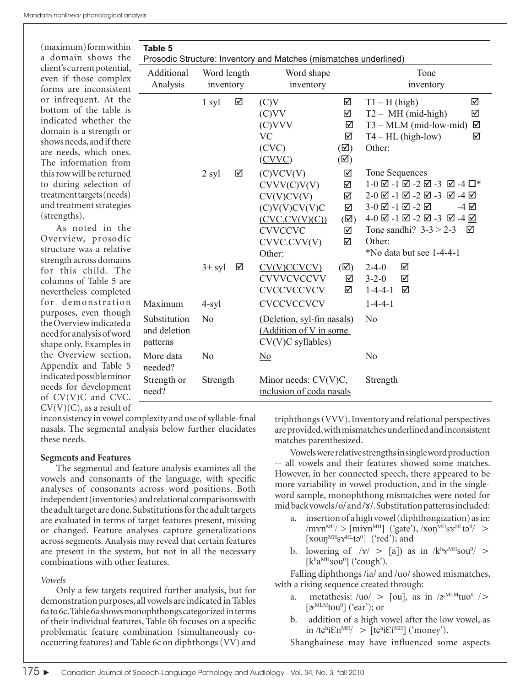(maximum) form within a domain shows the client's current potential, even if those complex forms are inconsistent or infrequent. At the bottom of the table is indicated whether the domain is a strength or shows needs, and if there are needs, which ones. The information from this row will be returned to during selection of treatment targets (needs) and treatment strategies (strengths).

As noted in the Overview, prosodic structure was a relative strength across domains for this child. The columns of Table 5 are nevertheless completed for demonstration purposes, even though the Overview indicated a need for analysis of word shape only. Examples in the Overview section, Appendix and Table 5 indicated possible minor needs for development of CV(V)C and CVC.  $CV(V)(C)$ , as a result of

| Table 5                                  |                | Prosodic Structure: Inventory and Matches (mismatches underlined)                                                               |                                                              |                                                                                                                                                                                                                                                                            |
|------------------------------------------|----------------|---------------------------------------------------------------------------------------------------------------------------------|--------------------------------------------------------------|----------------------------------------------------------------------------------------------------------------------------------------------------------------------------------------------------------------------------------------------------------------------------|
| Additional                               | Word length    | Word shape                                                                                                                      |                                                              | Tone                                                                                                                                                                                                                                                                       |
| Analysis                                 | inventory      | inventory                                                                                                                       |                                                              | inventory                                                                                                                                                                                                                                                                  |
|                                          | ☑<br>1 syl     | (C)V<br>(C)VV<br>(C)VVV<br><b>VC</b><br>(CVC)                                                                                   | ☑<br>☑<br>☑<br>☑<br>$(\boxtimes)$                            | ☑<br>$T1 - H$ (high)<br>$T2 - MH$ (mid-high)<br>☑<br>$T3 - MLM$ (mid-low-mid)<br>☑<br>$T4 - HL$ (high-low)<br>☑<br>Other:                                                                                                                                                  |
|                                          | ☑<br>2 syl     | (CVVC)<br>(C) VCV(V)<br>CVVV(C)V(V)<br>CV(V)CV(V)<br>(C)V(V)CV(V)C<br>(CVC.CV(V)(C))<br><b>CVVCCVC</b><br>CVVC.CVV(V)<br>Other: | $(\boxtimes)$<br>☑<br>☑<br>☑<br>☑<br>$(\boxtimes)$<br>☑<br>☑ | Tone Sequences<br>$1-0$ $\boxtimes$ $-1$ $\boxtimes$ $-2$ $\boxtimes$ $-3$ $\boxtimes$ $-4$ $\Box^*$<br>2-0 ☑ -1 ☑ -2 ☑ -3 ☑ -4 ☑<br>3-0 ☑ -1 ☑ -2 ☑<br>-4 ☑<br>4-0 ☑ -1 ☑ -2 ☑ -3 ☑ -4 ☑<br>Tone sandhi? $3-3 > 2-3$ $\boxtimes$<br>Other:<br>$*$ No data but see 1-4-4-1 |
|                                          | $3+$ syl<br>☑  | CV(V)CCVCV<br><b>CVVVCVCCVV</b><br><b>CVCCVCCVCV</b>                                                                            | $(\nabla)$<br>☑<br>☑                                         | $2 - 4 - 0$<br>☑<br>$3 - 2 - 0$<br>☑<br>$1 - 4 - 4 - 1$<br>☑                                                                                                                                                                                                               |
| Maximum                                  | $4$ -syl       | <b>CVCCVCCVCV</b>                                                                                                               |                                                              | $1 - 4 - 4 - 1$                                                                                                                                                                                                                                                            |
| Substitution<br>and deletion<br>patterns | N <sub>0</sub> | (Deletion, syl-fin nasals)<br>(Addition of V in some<br>$CV(V)C$ syllables)                                                     |                                                              | No                                                                                                                                                                                                                                                                         |
| More data<br>needed?                     | N <sub>o</sub> | $\overline{\text{No}}$                                                                                                          |                                                              | N <sub>o</sub>                                                                                                                                                                                                                                                             |
| Strength or<br>need?                     | Strength       | Minor needs: $CV(V)C$ ,<br>inclusion of coda nasals                                                                             |                                                              | Strength                                                                                                                                                                                                                                                                   |

inconsistency in vowel complexity and use of syllable-final nasals. The segmental analysis below further elucidates these needs.

### **Segments and Features**

The segmental and feature analysis examines all the vowels and consonants of the language, with specific analyses of consonants across word positions. Both independent (inventories) and relational comparisons with the adult target are done. Substitutions for the adult targets are evaluated in terms of target features present, missing or changed. Feature analyses capture generalizations across segments. Analysis may reveal that certain features are present in the system, but not in all the necessary combinations with other features.

### *Vowels*

Only a few targets required further analysis, but for demonstration purposes, all vowels are indicated in Tables 6a to 6c. Table 6a shows monophthongs categorized in terms of their individual features, Table 6b focuses on a specific problematic feature combination (simultaneously cooccurring features) and Table 6c on diphthongs (VV) and triphthongs (VVV). Inventory and relational perspectives are provided, with mismatches underlined and inconsistent matches parenthesized.

Vowels were relative strengths in single word production -- all vowels and their features showed some matches. However, in her connected speech, there appeared to be more variability in vowel production, and in the singleword sample, monophthong mismatches were noted for mid back vowels /o/ and /**x**/. Substitution patterns included:

- a. insertion of a high vowel (diphthongization) as in:  $\text{/m}\text{cm}^{\text{MH}}\text{/}$  >  $\text{[m}\text{m}^{\text{MH}}\text{]}$  ('gate'),  $\text{/}x\text{on}^{\text{MH}}\text{ss}^{\text{HH}}$ tə $\text{m}^{\text{/}}$  > [xouŋ<sup>MH</sup>s $x^{\text{HL}}$ tə<sup>0</sup>] ('red'); and
- b. lowering of  $/\gamma$  > [a]) as in  $/k^h\gamma^{MH}sou^0$  >  $[k^ha^MHsou^0]$  ('cough').

Falling diphthongs /ia/ and /uo/ showed mismatches, with a rising sequence created through:

- a. metathesis:  $\langle \text{uo} \rangle$  > [ou], as in  $\partial \text{vMLM}$ tuo<sup>0</sup> />  $[\mathcal{D}^{\text{MLM}}$ tou<sup>0</sup>] ('ear'); or
- b. addition of a high vowel after the low vowel, as  $\text{in } \langle \text{te}^{\text{hi}} \mathcal{E} \text{n}^{\text{MH}} \rangle \geq [\text{te}^{\text{hi}} \mathcal{E} \text{i}^{\text{MH}}] \; (\text{'money'}).$

Shanghainese may have influenced some aspects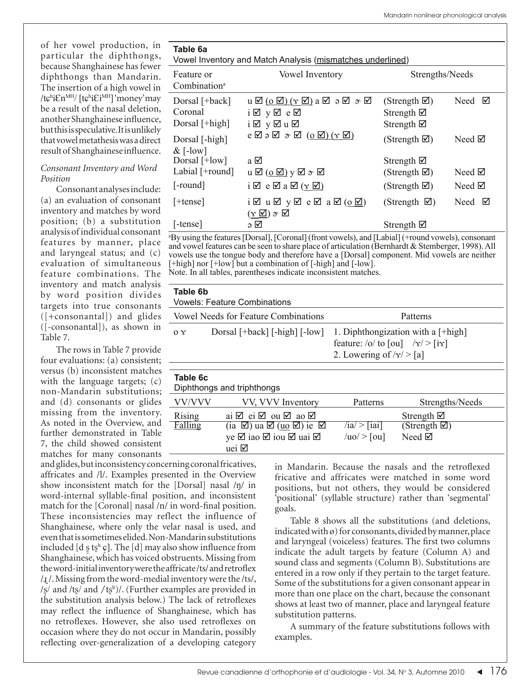of her vowel production, in particular the diphthongs, because Shanghainese has fewer diphthongs than Mandarin. The insertion of a high vowel in /tchiEn<sup>MH</sup>/ [tchiEi<sup>MH</sup>] 'money' may be a result of the nasal deletion, another Shanghainese influence, but this is speculative. It is unlikely that vowel metathesis was a direct result of Shanghainese influence.

### *Consonant Inventory and Word Position*

Consonant analyses include: (a) an evaluation of consonant inventory and matches by word position; (b) a substitution analysis of individual consonant features by manner, place and laryngeal status; and (c) evaluation of simultaneous feature combinations. The inventory and match analysis by word position divides targets into true consonants ([+consonantal]) and glides ([-consonantal]), as shown in Table 7.

The rows in Table 7 provide four evaluations: (a) consistent; versus (b) inconsistent matches with the language targets; (c) non-Mandarin substitutions; and (d) consonants or glides missing from the inventory. As noted in the Overview, and further demonstrated in Table 7, the child showed consistent matches for many consonants

and glides, but inconsistency concerning coronal fricatives, affricates and /l/. Examples presented in the Overview show inconsistent match for the [Dorsal] nasal /ŋ/ in word-internal syllable-final position, and inconsistent match for the  $[Coronal]$  nasal  $/n/$  in word-final position. These inconsistencies may reflect the influence of Shanghainese, where only the velar nasal is used, and even that is sometimes elided. Non-Mandarin substitutions included [d  $\sin \theta$  [d]. The [d] may also show influence from Shanghainese, which has voiced obstruents. Missing from the word-initial inventory were the affricate/ts/ and retroflex /ɻ /. Missing from the word-medial inventory were the /ts/, / $\wp$  and /t $\wp$  and /t $\wp$ <sup>h</sup>)/. (Further examples are provided in the substitution analysis below.) The lack of retroflexes may reflect the influence of Shanghainese, which has no retroflexes. However, she also used retroflexes on occasion where they do not occur in Mandarin, possibly reflecting over-generalization of a developing category

uei  $\boxtimes$ 

| Table 6a<br>Vowel Inventory and Match Analysis (mismatches underlined) |                                                                                                                                |                                                                         |                  |  |  |  |  |
|------------------------------------------------------------------------|--------------------------------------------------------------------------------------------------------------------------------|-------------------------------------------------------------------------|------------------|--|--|--|--|
| Feature or<br>Combination <sup>a</sup>                                 | <b>Vowel Inventory</b>                                                                                                         | Strengths/Needs                                                         |                  |  |  |  |  |
| Dorsal [+back]<br>Coronal<br>Dorsal [+high]                            | $u \boxtimes (o \boxtimes)(\gamma \boxtimes)$ a $\boxtimes$ $o \boxtimes \gamma$<br>i⊠ y⊠ e⊠<br>i⊠ y⊠u⊠                        | (Strength $\boxtimes$ )<br>Strength $\boxtimes$<br>Strength $\boxtimes$ | Need $\boxtimes$ |  |  |  |  |
| Dorsal [-high]<br>$&$ [-low]                                           | $e \boxtimes e \boxtimes \pi$ ( $\underline{o} \boxtimes$ ) ( $\underline{v} \boxtimes$ )                                      | (Strength $\boxtimes$ )                                                 | Need $\boxtimes$ |  |  |  |  |
| Dorsal [+low]                                                          | a ⊠                                                                                                                            | Strength $\boxtimes$                                                    |                  |  |  |  |  |
| Labial [+round]                                                        | $u \boxtimes (\underline{o} \boxtimes) y \boxtimes \rightarrow \boxtimes$                                                      | (Strength $\boxtimes$ )                                                 | Need $\boxtimes$ |  |  |  |  |
| $[-round]$                                                             | $i \boxtimes e \boxtimes a \boxtimes (\gamma \boxtimes)$                                                                       | (Strength $\boxtimes$ )                                                 | Need $\boxtimes$ |  |  |  |  |
| $[+tense]$                                                             | $i \boxtimes u \boxtimes y \boxtimes e \boxtimes a \boxtimes (0 \boxtimes)$<br>$(\gamma \boxtimes) \mathrel{\sigma} \boxtimes$ | (Strength $\boxtimes$ )                                                 | Need $\boxtimes$ |  |  |  |  |
| $[ -tense ]$                                                           | ∍ ⊠                                                                                                                            | Strength $\boxtimes$                                                    |                  |  |  |  |  |

a By using the features [Dorsal], [Coronal] (front vowels), and [Labial] (+round vowels), consonant and vowel features can be seen to share place of articulation (Bernhardt  $&$  Stemberger, 1998). All vowels use the tongue body and therefore have a [Dorsal] component. Mid vowels are neither [+high] nor [+low] but a combination of [-high] and [-low]. Note. In all tables, parentheses indicate inconsistent matches.

| Table 6b                 | <b>Vowels: Feature Combinations</b>                                                              |                                                                                                                            |                                                 |  |
|--------------------------|--------------------------------------------------------------------------------------------------|----------------------------------------------------------------------------------------------------------------------------|-------------------------------------------------|--|
|                          | <b>Vowel Needs for Feature Combinations</b>                                                      |                                                                                                                            | Patterns                                        |  |
| 0 <sup>x</sup>           | Dorsal [+back] [-high] [-low]                                                                    | 1. Diphthongization with a $[+high]$<br>feature: /o/ to [ou] $/\gamma$ /> [i $\gamma$ ]<br>2. Lowering of $\sqrt{x}$ > [a] |                                                 |  |
| Table 6c                 | Diphthongs and triphthongs                                                                       |                                                                                                                            |                                                 |  |
| VV/VVV                   | VV, VVV Inventory                                                                                | Patterns                                                                                                                   | Strengths/Needs                                 |  |
| <b>Rising</b><br>Falling | ai Ø ei Ø ou Ø ao Ø<br>(ia $\boxtimes$ ) ua $\boxtimes$ ( <u>uo</u> $\boxtimes$ ) ie $\boxtimes$ | $/1a/$   1a1                                                                                                               | Strength $\boxtimes$<br>(Strength $\boxtimes$ ) |  |
|                          | ye Ø iao Ø iou Ø uai Ø                                                                           | $/uo$ $>$ [ou]                                                                                                             | Need $\boxtimes$                                |  |

in Mandarin. Because the nasals and the retroflexed fricative and affricates were matched in some word positions, but not others, they would be considered 'positional' (syllable structure) rather than 'segmental' goals.

Table 8 shows all the substitutions (and deletions, indicated with ø) for consonants, divided by manner, place and laryngeal (voiceless) features. The first two columns indicate the adult targets by feature (Column A) and sound class and segments (Column B). Substitutions are entered in a row only if they pertain to the target feature. Some of the substitutions for a given consonant appear in more than one place on the chart, because the consonant shows at least two of manner, place and laryngeal feature substitution patterns.

A summary of the feature substitutions follows with examples.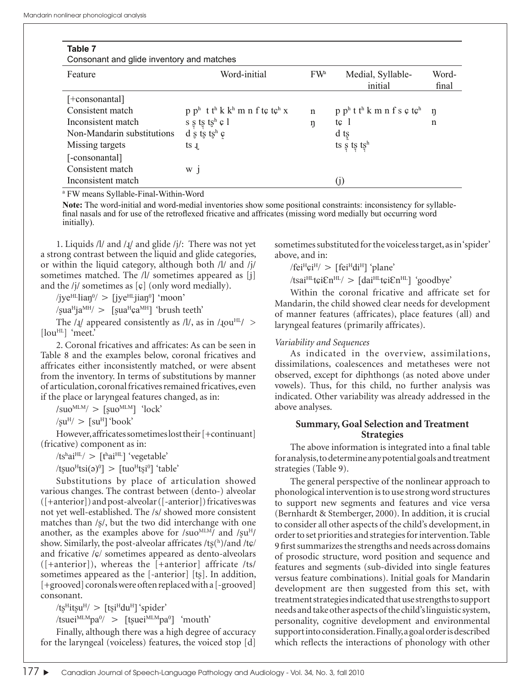| Table 7<br>Consonant and glide inventory and matches |                                                                             |                 |                                                              |                |  |  |
|------------------------------------------------------|-----------------------------------------------------------------------------|-----------------|--------------------------------------------------------------|----------------|--|--|
| Feature                                              | Word-initial                                                                | FW <sup>a</sup> | Medial, Syllable-<br>initial                                 | Word-<br>final |  |  |
| [+consonantal]                                       |                                                                             |                 |                                                              |                |  |  |
| Consistent match                                     | $p p^h$ t t <sup>h</sup> k k <sup>h</sup> m n f t $\varphi$ t $\varphi^h$ x | $\mathbf n$     | $p^{h}$ t t <sup>h</sup> k m n f s $\varphi$ t $\varphi^{h}$ | ŋ              |  |  |
| Inconsistent match                                   | $s$ ş t<br>ş tş $^{\rm h}$ c $1$                                            | ŋ               | tc <sub>1</sub>                                              | n              |  |  |
| Non-Mandarin substitutions                           | d s ts tsh $c$                                                              |                 | d ts                                                         |                |  |  |
| Missing targets                                      | $ts_{\text{L}}$                                                             |                 | ts s ts tsh                                                  |                |  |  |
| [-consonantal]                                       |                                                                             |                 |                                                              |                |  |  |
| Consistent match                                     | $W$ j                                                                       |                 |                                                              |                |  |  |
| Inconsistent match                                   |                                                                             |                 | $\rm (j)$                                                    |                |  |  |

a FW means Syllable-Final-Within-Word

**Note:** The word-initial and word-medial inventories show some positional constraints: inconsistency for syllablefinal nasals and for use of the retroflexed fricative and affricates (missing word medially but occurring word initially).

1. Liquids  $/1/$  and  $/$ <del>.</del> $//$  and glide  $/$  $/$ : There was not yet a strong contrast between the liquid and glide categories, or within the liquid category, although both /l/ and /j/ sometimes matched. The /l/ sometimes appeared as [j] and the /j/ sometimes as  $[\c{c}]$  (only word medially).

 $\langle$ jye<sup>HL</sup>liaŋ<sup>0</sup> $\rangle$  > [jye<sup>HL</sup>jiaŋ<sup>0</sup>] 'moon'

 $\gamma$ sua<sup>H</sup>ja<sup>MH</sup>/ > [sua<sup>H</sup>ça<sup>MH</sup>] 'brush teeth'

The  $/I/$  appeared consistently as  $/I/$ , as in  $/I$ ou<sup>HL</sup>/ > [lou<sup>HL</sup>] 'meet.'

2. Coronal fricatives and affricates: As can be seen in Table 8 and the examples below, coronal fricatives and affricates either inconsistently matched, or were absent from the inventory. In terms of substitutions by manner of articulation, coronal fricatives remained fricatives, even if the place or laryngeal features changed, as in:

 $\frac{1}{\text{Suo}}$ <sup>MLM</sup> $\frac{1}{\text{Suo}}$   $\frac{1}{\text{lock}}$ 

 $\sqrt{\text{su}^{\text{H}}}$  >  $\sqrt{\text{su}^{\text{H}}}$  'book'

However, affricates sometimes lost their [+continuant] (fricative) component as in:

 $/ts<sup>h</sup>ai<sup>HL</sup>/(s<sup>h</sup>ai<sup>HL</sup>)$  'vegetable'

/tʂuo<sup>H</sup>tsi(ə)<sup>0</sup>] > [tuo<sup>H</sup>ts̪i<sup>0</sup>] 'table'

Substitutions by place of articulation showed various changes. The contrast between (dento-) alveolar ([+anterior]) and post-alveolar ([-anterior]) fricatives was not yet well-established. The /s/ showed more consistent matches than /ʂ/, but the two did interchange with one another, as the examples above for /suo $^{MLM}$ / and / $\text{su}^H$ / show. Similarly, the post-alveolar affricates /tʂ(h)/and /tɕ/ and fricative  $\sqrt{\varsigma}$  sometimes appeared as dento-alveolars  $(|+$ anterior]), whereas the  $|+$ anterior] affricate /ts/ sometimes appeared as the [-anterior] [tʂ]. In addition, [+grooved] coronals were often replaced with a [-grooved] consonant.

/tʂ<sup>H</sup>itʂu<sup>H</sup>/ > [tʂi<sup>H</sup>du<sup>H</sup>] 'spider'

/tsuei<sup>MLM</sup>pa<sup>0</sup>/ > [tʂuei<sup>MLM</sup>pa<sup>0</sup>] 'mouth'

Finally, although there was a high degree of accuracy for the laryngeal (voiceless) features, the voiced stop [d]

sometimes substituted for the voiceless target, as in 'spider' above, and in:

 $/$ fei<sup>H</sup> $\varphi$ i<sup>H</sup> $/$  > [fei<sup>H</sup>di<sup>H</sup>] 'plane'

 $\text{Msai}^{\text{HL}}$ tçi $\text{Em}^{\text{HL}}$  >  $\text{[dai}^{\text{HL}}$ tçi $\text{Em}^{\text{HL}}$  'goodbye'

Within the coronal fricative and affricate set for Mandarin, the child showed clear needs for development of manner features (affricates), place features (all) and laryngeal features (primarily affricates).

### *Variability and Sequences*

As indicated in the overview, assimilations, dissimilations, coalescences and metatheses were not observed, except for diphthongs (as noted above under vowels). Thus, for this child, no further analysis was indicated. Other variability was already addressed in the above analyses.

### **Summary, Goal Selection and Treatment Strategies**

The above information is integrated into a final table for analysis, to determine any potential goals and treatment strategies (Table 9).

The general perspective of the nonlinear approach to phonological intervention is to use strong word structures to support new segments and features and vice versa (Bernhardt & Stemberger, 2000). In addition, it is crucial to consider all other aspects of the child's development, in order to set priorities and strategies for intervention. Table 9 fi rst summarizes the strengths and needs across domains of prosodic structure, word position and sequence and features and segments (sub-divided into single features versus feature combinations). Initial goals for Mandarin development are then suggested from this set, with treatment strategies indicated that use strengths to support needs and take other aspects of the child's linguistic system, personality, cognitive development and environmental support into consideration. Finally, a goal order is described which reflects the interactions of phonology with other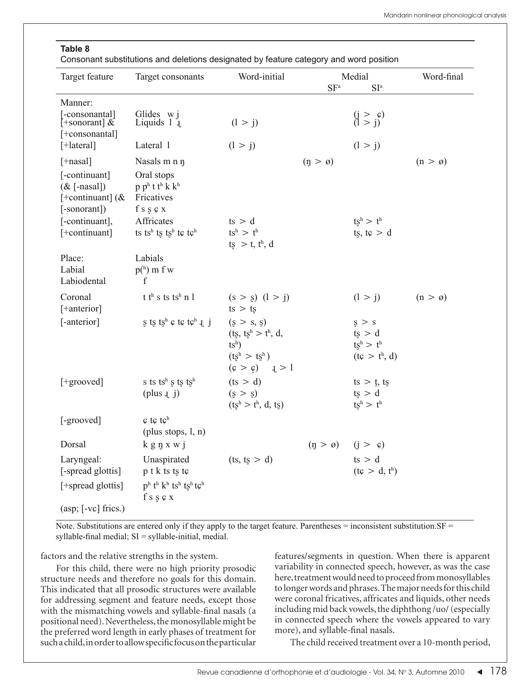### **Table 8**

Consonant substitutions and deletions designated by feature category and word position

| Target feature                                                         | Target consonants                                                               | Word-initial                                                                         | SF <sup>a</sup>        | Medial<br>SI <sup>a</sup>                                 | Word-final          |
|------------------------------------------------------------------------|---------------------------------------------------------------------------------|--------------------------------------------------------------------------------------|------------------------|-----------------------------------------------------------|---------------------|
| Manner:                                                                |                                                                                 |                                                                                      |                        |                                                           |                     |
| [-consonantal]<br>$\left[ +\text{sonorant} \right]$ &<br>$[+constant]$ | Glides w j<br>Liquids $1\overline{1}$ .                                         | (1 > j)                                                                              |                        | $\begin{pmatrix} j > c \\ l > j \end{pmatrix}$            |                     |
| $[+  \text{ateral}]$                                                   | Lateral 1                                                                       | (1 > j)                                                                              |                        | (1 > j)                                                   |                     |
| $[+$ nasal]                                                            | Nasals m n n                                                                    |                                                                                      | $(p > \emptyset)$      |                                                           | $(n > \varnothing)$ |
| [-continuant]<br>$(\&$ [-nasal])<br>[+continuant] $(x$<br>[-sonorant]) | Oral stops<br>$p p^h t t^h k k^h$<br>Fricatives<br>f s s $c x$                  |                                                                                      |                        |                                                           |                     |
| [-continuant],<br>[+continuant]                                        | Affricates<br>ts ts <sup>h</sup> ts ts <sup>h</sup> tc tc <sup>h</sup>          | ts > d<br>$ts^h > t^h$<br>$ts > t$ , $t^h$ , d                                       |                        | $ts^h > t^h$<br>ts, $t\epsilon > d$                       |                     |
| Place:<br>Labial<br>Labiodental                                        | Labials<br>$ph$ ) m f w<br>$\mathbf f$                                          |                                                                                      |                        |                                                           |                     |
| Coronal<br>[+anterior]                                                 | t th s ts tsh n l                                                               | $(s > s)$ $(l > j)$<br>$ts$ > $ts$                                                   |                        | (1 > j)                                                   | $(n > \varnothing)$ |
| [-anterior]                                                            | s ts ts <sup>h</sup> $\varphi$ t $\varphi$ t $\varphi$ <sup>h</sup> $\varphi$ i | (s > s, s)<br>$(ts, tsh > th, d,$<br>$tsh$ )<br>$(ts^h > ts^h)$<br>$(c > c)$ $I > 1$ |                        | s > s<br>ts > d<br>$ts^h > t^h$<br>$(t\epsilon > t^h, d)$ |                     |
| [+grooved]                                                             | s ts ts <sup>h</sup> s ts ts <sup>h</sup><br>(plus 1 j)                         | (ts > d)<br>(s > s)<br>$(tsh > th, d, ts)$                                           |                        | $ts > t$ , ts<br>ts > d<br>$ts^h > t^h$                   |                     |
| [-grooved]                                                             | $c$ tc tc <sup>h</sup><br>(plus stops, $l, n$ )                                 |                                                                                      |                        |                                                           |                     |
| Dorsal                                                                 | $k$ g $\eta$ x w j                                                              |                                                                                      | $(\eta > \varnothing)$ | $(j > \varrho)$                                           |                     |
| Laryngeal:<br>[-spread glottis]                                        | Unaspirated<br>$p$ t k ts ts t $\varphi$                                        | (ts, ts > d)                                                                         |                        | ts > d<br>$(t\epsilon > d, t^h)$                          |                     |
| [+spread glottis]                                                      | $p^h$ th $k^h$ tsh tsh tch<br>f s g c x                                         |                                                                                      |                        |                                                           |                     |
| (asp; [-vc] frics.)                                                    |                                                                                 |                                                                                      |                        |                                                           |                     |

Note. Substitutions are entered only if they apply to the target feature. Parentheses  $=$  inconsistent substitution.  $SF =$ syllable-final medial;  $SI = syllable-inital$ , medial.

factors and the relative strengths in the system.

For this child, there were no high priority prosodic structure needs and therefore no goals for this domain. This indicated that all prosodic structures were available for addressing segment and feature needs, except those with the mismatching vowels and syllable-final nasals (a positional need). Nevertheless, the monosyllable might be the preferred word length in early phases of treatment for such a child, in order to allow specific focus on the particular

features/segments in question. When there is apparent variability in connected speech, however, as was the case here, treatment would need to proceed from monosyllables to longer words and phrases. The major needs for this child were coronal fricatives, affricates and liquids, other needs including mid back vowels, the diphthong /uo/ (especially in connected speech where the vowels appeared to vary more), and syllable-final nasals.

The child received treatment over a 10-month period,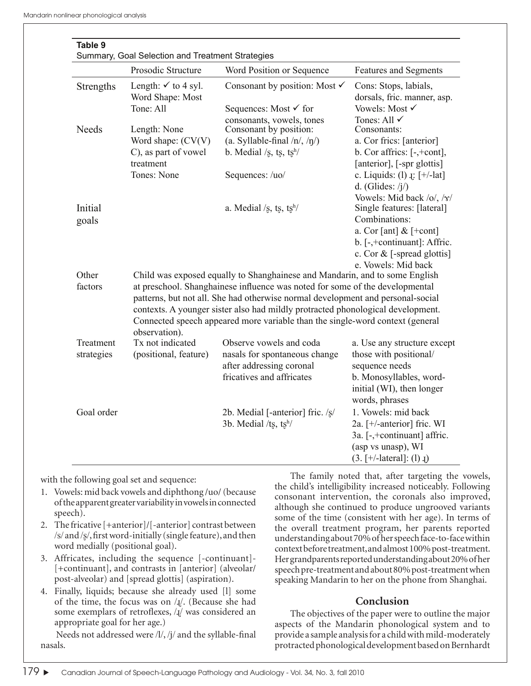| Table 9<br>Summary, Goal Selection and Treatment Strategies |                                                                                                                                                                                                                                                                                                                                                      |                                                                                      |                                                                                                                |
|-------------------------------------------------------------|------------------------------------------------------------------------------------------------------------------------------------------------------------------------------------------------------------------------------------------------------------------------------------------------------------------------------------------------------|--------------------------------------------------------------------------------------|----------------------------------------------------------------------------------------------------------------|
|                                                             | Prosodic Structure                                                                                                                                                                                                                                                                                                                                   | Word Position or Sequence                                                            | <b>Features and Segments</b>                                                                                   |
| Strengths                                                   | Length: $\checkmark$ to 4 syl.<br>Word Shape: Most<br>Tone: All                                                                                                                                                                                                                                                                                      | Consonant by position: Most $\checkmark$<br>Sequences: Most <del>✓</del> for         | Cons: Stops, labials,<br>dorsals, fric. manner, asp.<br>Vowels: Most √                                         |
|                                                             |                                                                                                                                                                                                                                                                                                                                                      | consonants, vowels, tones                                                            | Tones: All $\checkmark$                                                                                        |
| <b>Needs</b>                                                | Length: None                                                                                                                                                                                                                                                                                                                                         | Consonant by position:                                                               | Consonants:                                                                                                    |
|                                                             | Word shape: $(CV(V))$                                                                                                                                                                                                                                                                                                                                | (a. Syllable-final $/n/$ , $/n/$ )                                                   | a. Cor frics: [anterior]                                                                                       |
|                                                             | C), as part of vowel<br>treatment                                                                                                                                                                                                                                                                                                                    | b. Medial /s, ts, $ts^h$ /                                                           | b. Cor affrics: $[-, +cont]$ ,<br>[anterior], [-spr glottis]                                                   |
|                                                             | Tones: None                                                                                                                                                                                                                                                                                                                                          | Sequences: /uo/                                                                      | c. Liquids: (1) $\downarrow$ : [+/-lat]<br>d. (Glides: $/i$ )                                                  |
| Initial<br>goals                                            |                                                                                                                                                                                                                                                                                                                                                      | a. Medial /s, ts, $ts^h$ /                                                           | Vowels: Mid back /o/, /x/<br>Single features: [lateral]<br>Combinations:                                       |
|                                                             |                                                                                                                                                                                                                                                                                                                                                      |                                                                                      | a. Cor [ant] $&$ [+cont]<br>b. [-,+continuant]: Affric.<br>c. Cor $&$ [-spread glottis]<br>e. Vowels: Mid back |
| Other                                                       | Child was exposed equally to Shanghainese and Mandarin, and to some English                                                                                                                                                                                                                                                                          |                                                                                      |                                                                                                                |
| factors                                                     | at preschool. Shanghainese influence was noted for some of the developmental<br>patterns, but not all. She had otherwise normal development and personal-social<br>contexts. A younger sister also had mildly protracted phonological development.<br>Connected speech appeared more variable than the single-word context (general<br>observation). |                                                                                      |                                                                                                                |
| Treatment<br>strategies                                     | Tx not indicated<br>(positional, feature)                                                                                                                                                                                                                                                                                                            | Observe vowels and coda<br>nasals for spontaneous change<br>after addressing coronal | a. Use any structure except<br>those with positional/<br>sequence needs                                        |
|                                                             |                                                                                                                                                                                                                                                                                                                                                      | fricatives and affricates                                                            | b. Monosyllables, word-<br>initial (WI), then longer<br>words, phrases                                         |
| Goal order                                                  |                                                                                                                                                                                                                                                                                                                                                      | 2b. Medial [-anterior] fric. /s/<br>3b. Medial / $ts$ , $tsh$ /                      | 1. Vowels: mid back<br>2a. [+/-anterior] fric. WI<br>3a. [-,+continuant] affric.<br>(asp vs unasp), WI         |
|                                                             |                                                                                                                                                                                                                                                                                                                                                      |                                                                                      | $(3. +/- lateral)$ : (1) $I$ )                                                                                 |

with the following goal set and sequence:

- 1. Vowels: mid back vowels and diphthong /uo/ (because of the apparent greater variability in vowels in connected speech).
- 2. The fricative [+anterior]/[-anterior] contrast between  $/s$  and  $/s$ , first word-initially (single feature), and then word medially (positional goal).
- 3. Affricates, including the sequence [-continuant]- [+continuant], and contrasts in [anterior] (alveolar/ post-alveolar) and [spread glottis] (aspiration).
- 4. Finally, liquids; because she already used [l] some of the time, the focus was on  $\lambda$ *l*. (Because she had some exemplars of retroflexes,  $\lambda$ [/ was considered an appropriate goal for her age.)

Needs not addressed were  $\frac{1}{i}$ ,  $\frac{1}{j}$  and the syllable-final nasals.

The family noted that, after targeting the vowels, the child's intelligibility increased noticeably. Following consonant intervention, the coronals also improved, although she continued to produce ungrooved variants some of the time (consistent with her age). In terms of the overall treatment program, her parents reported understandingabout 70% of her speech face-to-face within context before treatment, and almost 100% post-treatment. Her grandparents reported understanding about 20% of her speech pre-treatment and about 80% post-treatment when speaking Mandarin to her on the phone from Shanghai.

## **Conclusion**

The objectives of the paper were to outline the major aspects of the Mandarin phonological system and to provide a sample analysis for a child with mild-moderately protracted phonological development based on Bernhardt